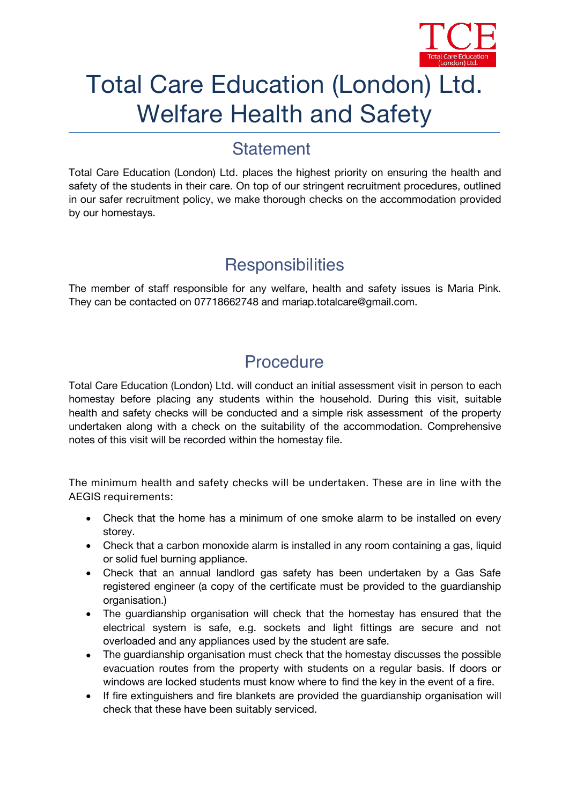

# Total Care Education (London) Ltd. Welfare Health and Safety

#### **Statement**

Total Care Education (London) Ltd. places the highest priority on ensuring the health and safety of the students in their care. On top of our stringent recruitment procedures, outlined in our safer recruitment policy, we make thorough checks on the accommodation provided by our homestays.

## **Responsibilities**

The member of staff responsible for any welfare, health and safety issues is *Maria Pink.* They can be contacted on *07718662748 and mariap.totalcare@gmail.com.*

## **Procedure**

Total Care Education (London) Ltd. will conduct an initial assessment visit in person to each homestay before placing any students within the household. During this visit, suitable health and safety checks will be conducted and a simple risk assessment of the property undertaken along with a check on the suitability of the accommodation. Comprehensive notes of this visit will be recorded within the homestay file.

**The minimum health and safety checks will be undertaken. These are in line with the AEGIS requirements:**

- Check that the home has a minimum of one smoke alarm to be installed on every storey.
- Check that a carbon monoxide alarm is installed in any room containing a gas, liquid or solid fuel burning appliance.
- Check that an annual landlord gas safety has been undertaken by a Gas Safe registered engineer (a copy of the certificate must be provided to the guardianship organisation.)
- The guardianship organisation will check that the homestay has ensured that the electrical system is safe, e.g. sockets and light fittings are secure and not overloaded and any appliances used by the student are safe.
- The quardianship organisation must check that the homestay discusses the possible evacuation routes from the property with students on a regular basis. If doors or windows are locked students must know where to find the key in the event of a fire.
- If fire extinguishers and fire blankets are provided the guardianship organisation will check that these have been suitably serviced.